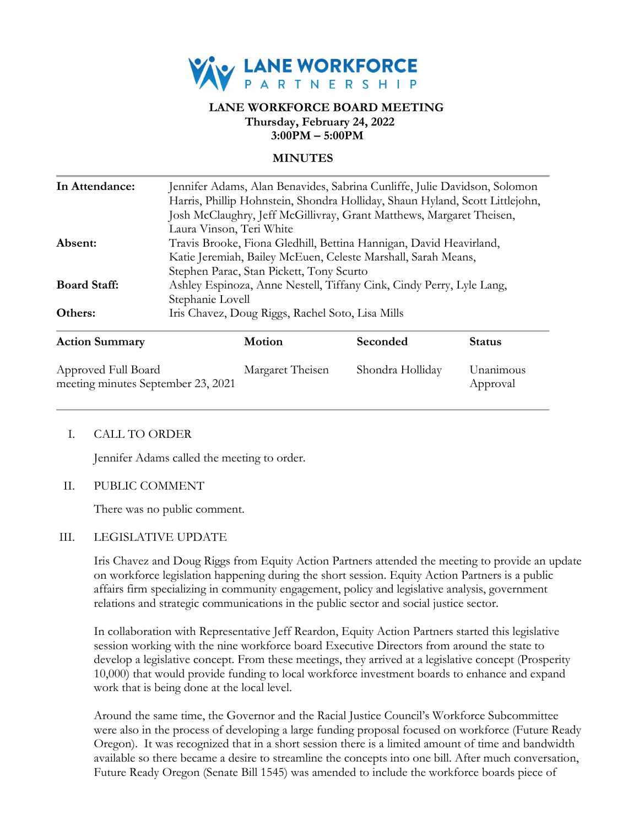

### **LANE WORKFORCE BOARD MEETING Thursday, February 24, 2022 3:00PM – 5:00PM**

### **MINUTES**

| In Attendance:        | Jennifer Adams, Alan Benavides, Sabrina Cunliffe, Julie Davidson, Solomon<br>Harris, Phillip Hohnstein, Shondra Holliday, Shaun Hyland, Scott Littlejohn,<br>Josh McClaughry, Jeff McGillivray, Grant Matthews, Margaret Theisen,<br>Laura Vinson, Teri White<br>Travis Brooke, Fiona Gledhill, Bettina Hannigan, David Heavirland,<br>Katie Jeremiah, Bailey McEuen, Celeste Marshall, Sarah Means,<br>Stephen Parac, Stan Pickett, Tony Scurto<br>Ashley Espinoza, Anne Nestell, Tiffany Cink, Cindy Perry, Lyle Lang,<br>Stephanie Lovell |                  |               |
|-----------------------|----------------------------------------------------------------------------------------------------------------------------------------------------------------------------------------------------------------------------------------------------------------------------------------------------------------------------------------------------------------------------------------------------------------------------------------------------------------------------------------------------------------------------------------------|------------------|---------------|
| Absent:               |                                                                                                                                                                                                                                                                                                                                                                                                                                                                                                                                              |                  |               |
| <b>Board Staff:</b>   |                                                                                                                                                                                                                                                                                                                                                                                                                                                                                                                                              |                  |               |
| Others:               | Iris Chavez, Doug Riggs, Rachel Soto, Lisa Mills                                                                                                                                                                                                                                                                                                                                                                                                                                                                                             |                  |               |
| <b>Action Summary</b> | <b>Motion</b>                                                                                                                                                                                                                                                                                                                                                                                                                                                                                                                                | Seconded         | <b>Status</b> |
| Approved Full Board   | Margaret Theisen                                                                                                                                                                                                                                                                                                                                                                                                                                                                                                                             | Shondra Holliday | Unanimous     |

meeting minutes September 23, 2021 Approval

#### I. CALL TO ORDER

Jennifer Adams called the meeting to order.

#### II. PUBLIC COMMENT

There was no public comment.

#### III. LEGISLATIVE UPDATE

Iris Chavez and Doug Riggs from Equity Action Partners attended the meeting to provide an update on workforce legislation happening during the short session. Equity Action Partners is a public affairs firm specializing in community engagement, policy and legislative analysis, government relations and strategic communications in the public sector and social justice sector.

In collaboration with Representative Jeff Reardon, Equity Action Partners started this legislative session working with the nine workforce board Executive Directors from around the state to develop a legislative concept. From these meetings, they arrived at a legislative concept (Prosperity 10,000) that would provide funding to local workforce investment boards to enhance and expand work that is being done at the local level.

Around the same time, the Governor and the Racial Justice Council's Workforce Subcommittee were also in the process of developing a large funding proposal focused on workforce (Future Ready Oregon). It was recognized that in a short session there is a limited amount of time and bandwidth available so there became a desire to streamline the concepts into one bill. After much conversation, Future Ready Oregon (Senate Bill 1545) was amended to include the workforce boards piece of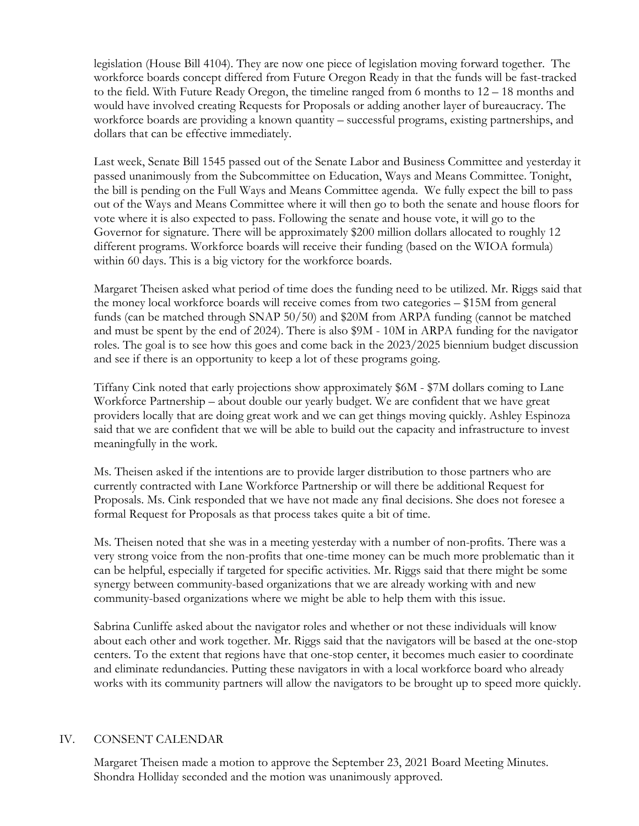legislation (House Bill 4104). They are now one piece of legislation moving forward together. The workforce boards concept differed from Future Oregon Ready in that the funds will be fast-tracked to the field. With Future Ready Oregon, the timeline ranged from 6 months to 12 – 18 months and would have involved creating Requests for Proposals or adding another layer of bureaucracy. The workforce boards are providing a known quantity – successful programs, existing partnerships, and dollars that can be effective immediately.

Last week, Senate Bill 1545 passed out of the Senate Labor and Business Committee and yesterday it passed unanimously from the Subcommittee on Education, Ways and Means Committee. Tonight, the bill is pending on the Full Ways and Means Committee agenda. We fully expect the bill to pass out of the Ways and Means Committee where it will then go to both the senate and house floors for vote where it is also expected to pass. Following the senate and house vote, it will go to the Governor for signature. There will be approximately \$200 million dollars allocated to roughly 12 different programs. Workforce boards will receive their funding (based on the WIOA formula) within 60 days. This is a big victory for the workforce boards.

Margaret Theisen asked what period of time does the funding need to be utilized. Mr. Riggs said that the money local workforce boards will receive comes from two categories – \$15M from general funds (can be matched through SNAP 50/50) and \$20M from ARPA funding (cannot be matched and must be spent by the end of 2024). There is also \$9M - 10M in ARPA funding for the navigator roles. The goal is to see how this goes and come back in the 2023/2025 biennium budget discussion and see if there is an opportunity to keep a lot of these programs going.

Tiffany Cink noted that early projections show approximately \$6M - \$7M dollars coming to Lane Workforce Partnership – about double our yearly budget. We are confident that we have great providers locally that are doing great work and we can get things moving quickly. Ashley Espinoza said that we are confident that we will be able to build out the capacity and infrastructure to invest meaningfully in the work.

Ms. Theisen asked if the intentions are to provide larger distribution to those partners who are currently contracted with Lane Workforce Partnership or will there be additional Request for Proposals. Ms. Cink responded that we have not made any final decisions. She does not foresee a formal Request for Proposals as that process takes quite a bit of time.

Ms. Theisen noted that she was in a meeting yesterday with a number of non-profits. There was a very strong voice from the non-profits that one-time money can be much more problematic than it can be helpful, especially if targeted for specific activities. Mr. Riggs said that there might be some synergy between community-based organizations that we are already working with and new community-based organizations where we might be able to help them with this issue.

Sabrina Cunliffe asked about the navigator roles and whether or not these individuals will know about each other and work together. Mr. Riggs said that the navigators will be based at the one-stop centers. To the extent that regions have that one-stop center, it becomes much easier to coordinate and eliminate redundancies. Putting these navigators in with a local workforce board who already works with its community partners will allow the navigators to be brought up to speed more quickly.

### IV. CONSENT CALENDAR

Margaret Theisen made a motion to approve the September 23, 2021 Board Meeting Minutes. Shondra Holliday seconded and the motion was unanimously approved.